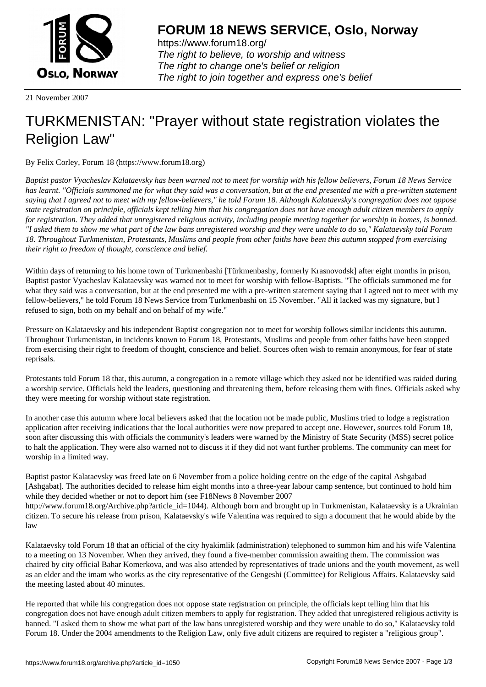

https://www.forum18.org/ The right to believe, to worship and witness The right to change one's belief or religion [The right to join together a](https://www.forum18.org/)nd express one's belief

21 November 2007

## [TURKMENISTA](https://www.forum18.org)N: "Prayer without state registration violates the Religion Law"

By Felix Corley, Forum 18 (https://www.forum18.org)

*Baptist pastor Vyacheslav Kalataevsky has been warned not to meet for worship with his fellow believers, Forum 18 News Service has learnt. "Officials summoned me for what they said was a conversation, but at the end presented me with a pre-written statement saying that I agreed not to meet with my fellow-believers," he told Forum 18. Although Kalataevsky's congregation does not oppose state registration on principle, officials kept telling him that his congregation does not have enough adult citizen members to apply for registration. They added that unregistered religious activity, including people meeting together for worship in homes, is banned. "I asked them to show me what part of the law bans unregistered worship and they were unable to do so," Kalataevsky told Forum 18. Throughout Turkmenistan, Protestants, Muslims and people from other faiths have been this autumn stopped from exercising their right to freedom of thought, conscience and belief.*

Within days of returning to his home town of Turkmenbashi [Türkmenbashy, formerly Krasnovodsk] after eight months in prison, Baptist pastor Vyacheslav Kalataevsky was warned not to meet for worship with fellow-Baptists. "The officials summoned me for what they said was a conversation, but at the end presented me with a pre-written statement saying that I agreed not to meet with my fellow-believers," he told Forum 18 News Service from Turkmenbashi on 15 November. "All it lacked was my signature, but I refused to sign, both on my behalf and on behalf of my wife."

Pressure on Kalataevsky and his independent Baptist congregation not to meet for worship follows similar incidents this autumn. Throughout Turkmenistan, in incidents known to Forum 18, Protestants, Muslims and people from other faiths have been stopped from exercising their right to freedom of thought, conscience and belief. Sources often wish to remain anonymous, for fear of state reprisals.

Protestants told Forum 18 that, this autumn, a congregation in a remote village which they asked not be identified was raided during a worship service. Officials held the leaders, questioning and threatening them, before releasing them with fines. Officials asked why they were meeting for worship without state registration.

In another case this autumn where local believers asked that the location not be made public, Muslims tried to lodge a registration application after receiving indications that the local authorities were now prepared to accept one. However, sources told Forum 18, soon after discussing this with officials the community's leaders were warned by the Ministry of State Security (MSS) secret police to halt the application. They were also warned not to discuss it if they did not want further problems. The community can meet for worship in a limited way.

Baptist pastor Kalataevsky was freed late on 6 November from a police holding centre on the edge of the capital Ashgabad [Ashgabat]. The authorities decided to release him eight months into a three-year labour camp sentence, but continued to hold him while they decided whether or not to deport him (see F18News 8 November 2007 http://www.forum18.org/Archive.php?article\_id=1044). Although born and brought up in Turkmenistan, Kalataevsky is a Ukrainian citizen. To secure his release from prison, Kalataevsky's wife Valentina was required to sign a document that he would abide by the law

Kalataevsky told Forum 18 that an official of the city hyakimlik (administration) telephoned to summon him and his wife Valentina to a meeting on 13 November. When they arrived, they found a five-member commission awaiting them. The commission was chaired by city official Bahar Komerkova, and was also attended by representatives of trade unions and the youth movement, as well as an elder and the imam who works as the city representative of the Gengeshi (Committee) for Religious Affairs. Kalataevsky said the meeting lasted about 40 minutes.

He reported that while his congregation does not oppose state registration on principle, the officials kept telling him that his congregation does not have enough adult citizen members to apply for registration. They added that unregistered religious activity is banned. "I asked them to show me what part of the law bans unregistered worship and they were unable to do so," Kalataevsky told Forum 18. Under the 2004 amendments to the Religion Law, only five adult citizens are required to register a "religious group".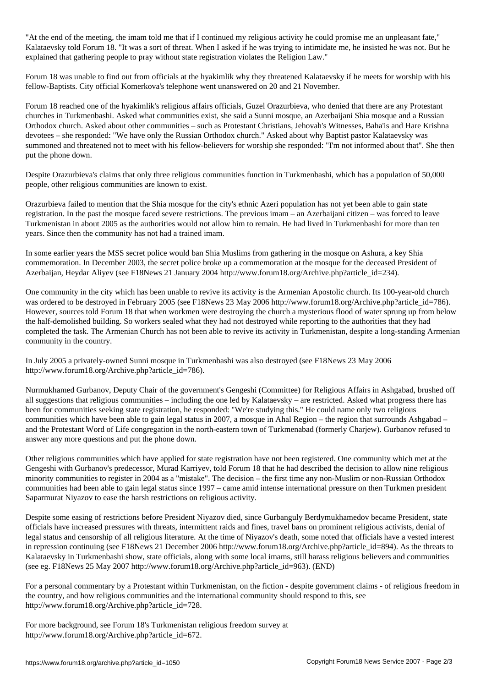"At the end of the meeting, the imam told me that if I continued my religious activity he could promise me an unpleasant fate," Kalataevsky told Forum 18. "It was a sort of threat. When I asked if he was trying to intimidate me, he insisted he was not. But he explained that gathering people to pray without state registration violates the Religion Law."

Forum 18 was unable to find out from officials at the hyakimlik why they threatened Kalataevsky if he meets for worship with his fellow-Baptists. City official Komerkova's telephone went unanswered on 20 and 21 November.

Forum 18 reached one of the hyakimlik's religious affairs officials, Guzel Orazurbieva, who denied that there are any Protestant churches in Turkmenbashi. Asked what communities exist, she said a Sunni mosque, an Azerbaijani Shia mosque and a Russian Orthodox church. Asked about other communities – such as Protestant Christians, Jehovah's Witnesses, Baha'is and Hare Krishna devotees – she responded: "We have only the Russian Orthodox church." Asked about why Baptist pastor Kalataevsky was summoned and threatened not to meet with his fellow-believers for worship she responded: "I'm not informed about that". She then put the phone down.

Despite Orazurbieva's claims that only three religious communities function in Turkmenbashi, which has a population of 50,000 people, other religious communities are known to exist.

Orazurbieva failed to mention that the Shia mosque for the city's ethnic Azeri population has not yet been able to gain state registration. In the past the mosque faced severe restrictions. The previous imam – an Azerbaijani citizen – was forced to leave Turkmenistan in about 2005 as the authorities would not allow him to remain. He had lived in Turkmenbashi for more than ten years. Since then the community has not had a trained imam.

In some earlier years the MSS secret police would ban Shia Muslims from gathering in the mosque on Ashura, a key Shia commemoration. In December 2003, the secret police broke up a commemoration at the mosque for the deceased President of Azerbaijan, Heydar Aliyev (see F18News 21 January 2004 http://www.forum18.org/Archive.php?article\_id=234).

One community in the city which has been unable to revive its activity is the Armenian Apostolic church. Its 100-year-old church was ordered to be destroyed in February 2005 (see F18News 23 May 2006 http://www.forum18.org/Archive.php?article\_id=786). However, sources told Forum 18 that when workmen were destroying the church a mysterious flood of water sprung up from below the half-demolished building. So workers sealed what they had not destroyed while reporting to the authorities that they had completed the task. The Armenian Church has not been able to revive its activity in Turkmenistan, despite a long-standing Armenian community in the country.

In July 2005 a privately-owned Sunni mosque in Turkmenbashi was also destroyed (see F18News 23 May 2006 http://www.forum18.org/Archive.php?article\_id=786).

Nurmukhamed Gurbanov, Deputy Chair of the government's Gengeshi (Committee) for Religious Affairs in Ashgabad, brushed off all suggestions that religious communities – including the one led by Kalataevsky – are restricted. Asked what progress there has been for communities seeking state registration, he responded: "We're studying this." He could name only two religious communities which have been able to gain legal status in 2007, a mosque in Ahal Region – the region that surrounds Ashgabad – and the Protestant Word of Life congregation in the north-eastern town of Turkmenabad (formerly Charjew). Gurbanov refused to answer any more questions and put the phone down.

Other religious communities which have applied for state registration have not been registered. One community which met at the Gengeshi with Gurbanov's predecessor, Murad Karriyev, told Forum 18 that he had described the decision to allow nine religious minority communities to register in 2004 as a "mistake". The decision – the first time any non-Muslim or non-Russian Orthodox communities had been able to gain legal status since 1997 – came amid intense international pressure on then Turkmen president Saparmurat Niyazov to ease the harsh restrictions on religious activity.

Despite some easing of restrictions before President Niyazov died, since Gurbanguly Berdymukhamedov became President, state officials have increased pressures with threats, intermittent raids and fines, travel bans on prominent religious activists, denial of legal status and censorship of all religious literature. At the time of Niyazov's death, some noted that officials have a vested interest in repression continuing (see F18News 21 December 2006 http://www.forum18.org/Archive.php?article\_id=894). As the threats to Kalataevsky in Turkmenbashi show, state officials, along with some local imams, still harass religious believers and communities (see eg. F18News 25 May 2007 http://www.forum18.org/Archive.php?article\_id=963). (END)

For a personal commentary by a Protestant within Turkmenistan, on the fiction - despite government claims - of religious freedom in the country, and how religious communities and the international community should respond to this, see http://www.forum18.org/Archive.php?article\_id=728.

For more background, see Forum 18's Turkmenistan religious freedom survey at http://www.forum18.org/Archive.php?article\_id=672.